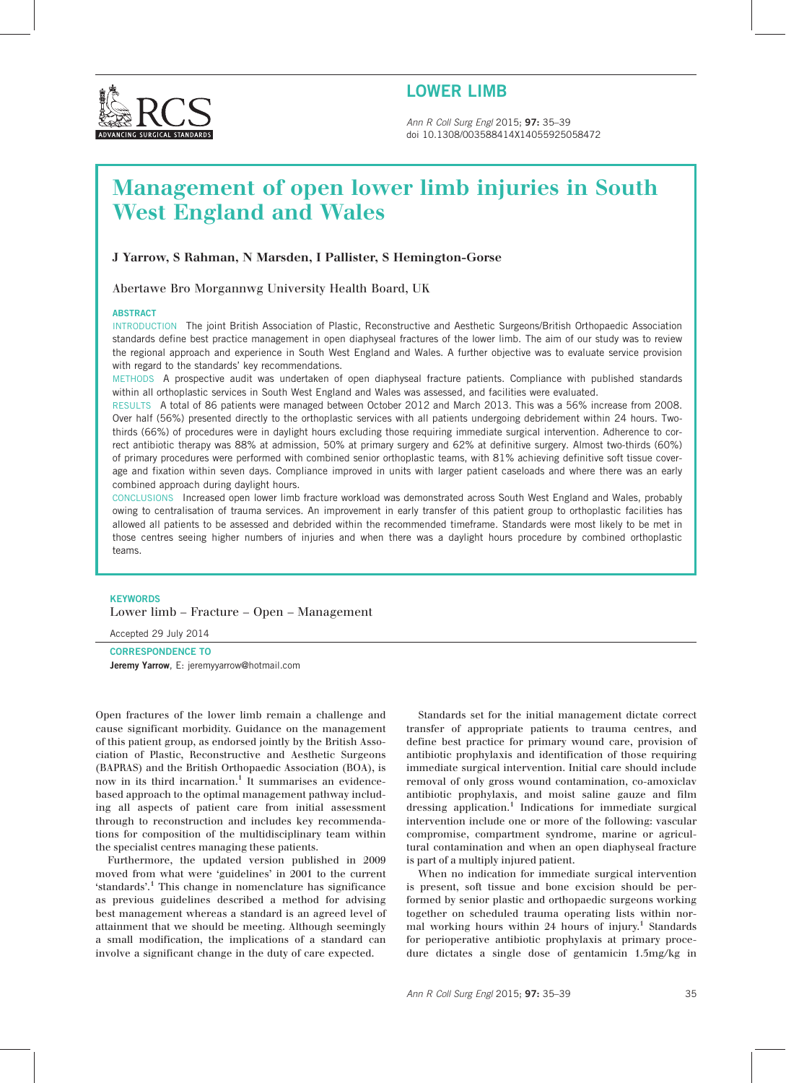

# LOWER LIMB

Ann R Coll Surg Engl 2015; 97: 35-39 doi 10.1308/003588414X14055925058472

# Management of open lower limb injuries in South West England and Wales

# J Yarrow, S Rahman, N Marsden, I Pallister, S Hemington-Gorse

Abertawe Bro Morgannwg University Health Board, UK

#### **ABSTRACT**

INTRODUCTION The joint British Association of Plastic, Reconstructive and Aesthetic Surgeons/British Orthopaedic Association standards define best practice management in open diaphyseal fractures of the lower limb. The aim of our study was to review the regional approach and experience in South West England and Wales. A further objective was to evaluate service provision with regard to the standards' key recommendations.

METHODS A prospective audit was undertaken of open diaphyseal fracture patients. Compliance with published standards within all orthoplastic services in South West England and Wales was assessed, and facilities were evaluated.

RESULTS A total of 86 patients were managed between October 2012 and March 2013. This was a 56% increase from 2008. Over half (56%) presented directly to the orthoplastic services with all patients undergoing debridement within 24 hours. Twothirds (66%) of procedures were in daylight hours excluding those requiring immediate surgical intervention. Adherence to correct antibiotic therapy was 88% at admission, 50% at primary surgery and 62% at definitive surgery. Almost two-thirds (60%) of primary procedures were performed with combined senior orthoplastic teams, with 81% achieving definitive soft tissue coverage and fixation within seven days. Compliance improved in units with larger patient caseloads and where there was an early combined approach during daylight hours.

CONCLUSIONS Increased open lower limb fracture workload was demonstrated across South West England and Wales, probably owing to centralisation of trauma services. An improvement in early transfer of this patient group to orthoplastic facilities has allowed all patients to be assessed and debrided within the recommended timeframe. Standards were most likely to be met in those centres seeing higher numbers of injuries and when there was a daylight hours procedure by combined orthoplastic teams.

# **KEYWORDS**

Lower limb – Fracture – Open – Management

Accepted 29 July 2014

CORRESPONDENCE TO Jeremy Yarrow, E: jeremyyarrow@hotmail.com

Open fractures of the lower limb remain a challenge and cause significant morbidity. Guidance on the management of this patient group, as endorsed jointly by the British Association of Plastic, Reconstructive and Aesthetic Surgeons (BAPRAS) and the British Orthopaedic Association (BOA), is now in its third incarnation.<sup>1</sup> It summarises an evidencebased approach to the optimal management pathway including all aspects of patient care from initial assessment through to reconstruction and includes key recommendations for composition of the multidisciplinary team within the specialist centres managing these patients.

Furthermore, the updated version published in 2009 moved from what were 'guidelines' in 2001 to the current 'standards'.<sup>1</sup> This change in nomenclature has significance as previous guidelines described a method for advising best management whereas a standard is an agreed level of attainment that we should be meeting. Although seemingly a small modification, the implications of a standard can involve a significant change in the duty of care expected.

Standards set for the initial management dictate correct transfer of appropriate patients to trauma centres, and define best practice for primary wound care, provision of antibiotic prophylaxis and identification of those requiring immediate surgical intervention. Initial care should include removal of only gross wound contamination, co-amoxiclav antibiotic prophylaxis, and moist saline gauze and film dressing application.<sup>1</sup> Indications for immediate surgical intervention include one or more of the following: vascular compromise, compartment syndrome, marine or agricultural contamination and when an open diaphyseal fracture is part of a multiply injured patient.

When no indication for immediate surgical intervention is present, soft tissue and bone excision should be performed by senior plastic and orthopaedic surgeons working together on scheduled trauma operating lists within normal working hours within  $24$  hours of injury.<sup>1</sup> Standards for perioperative antibiotic prophylaxis at primary procedure dictates a single dose of gentamicin 1.5mg/kg in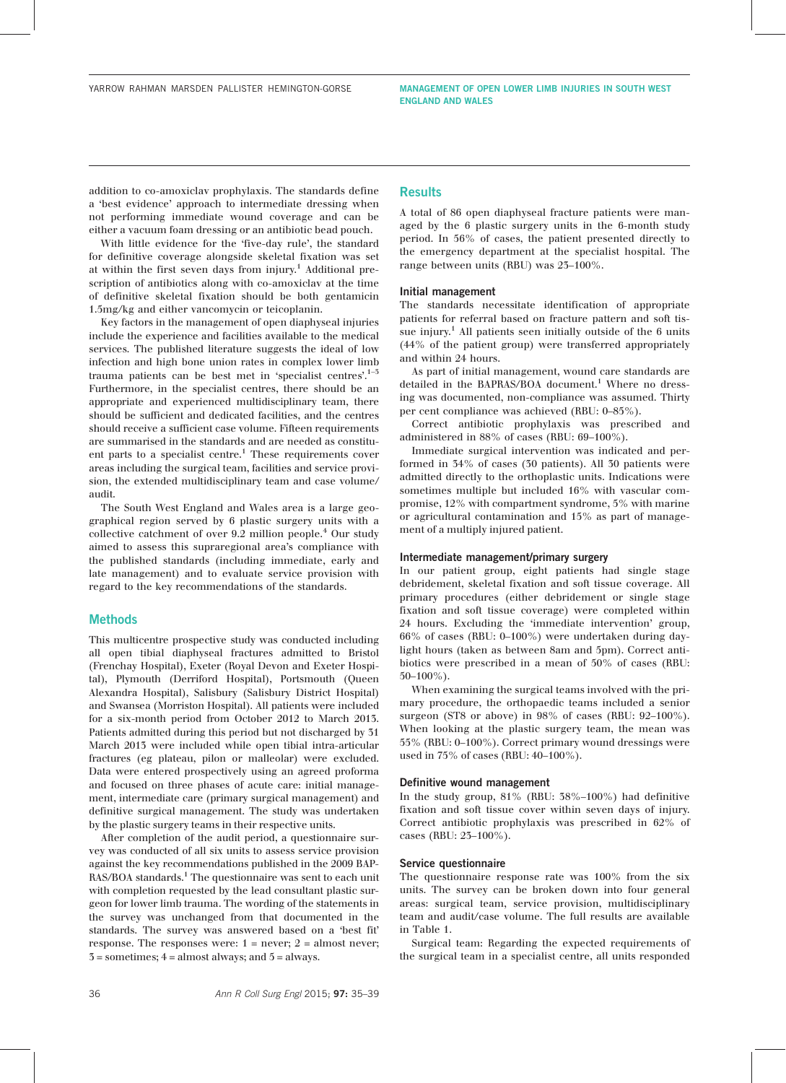addition to co-amoxiclav prophylaxis. The standards define a 'best evidence' approach to intermediate dressing when not performing immediate wound coverage and can be either a vacuum foam dressing or an antibiotic bead pouch.

With little evidence for the 'five-day rule', the standard for definitive coverage alongside skeletal fixation was set at within the first seven days from injury.<sup>1</sup> Additional prescription of antibiotics along with co-amoxiclav at the time of definitive skeletal fixation should be both gentamicin 1.5mg/kg and either vancomycin or teicoplanin.

Key factors in the management of open diaphyseal injuries include the experience and facilities available to the medical services. The published literature suggests the ideal of low infection and high bone union rates in complex lower limb trauma patients can be best met in 'specialist centres'. 1–3 Furthermore, in the specialist centres, there should be an appropriate and experienced multidisciplinary team, there should be sufficient and dedicated facilities, and the centres should receive a sufficient case volume. Fifteen requirements are summarised in the standards and are needed as constituent parts to a specialist centre.<sup>1</sup> These requirements cover areas including the surgical team, facilities and service provision, the extended multidisciplinary team and case volume/ audit.

The South West England and Wales area is a large geographical region served by 6 plastic surgery units with a collective catchment of over 9.2 million people.<sup>4</sup> Our study aimed to assess this supraregional area's compliance with the published standards (including immediate, early and late management) and to evaluate service provision with regard to the key recommendations of the standards.

# **Methods**

This multicentre prospective study was conducted including all open tibial diaphyseal fractures admitted to Bristol (Frenchay Hospital), Exeter (Royal Devon and Exeter Hospital), Plymouth (Derriford Hospital), Portsmouth (Queen Alexandra Hospital), Salisbury (Salisbury District Hospital) and Swansea (Morriston Hospital). All patients were included for a six-month period from October 2012 to March 2013. Patients admitted during this period but not discharged by 31 March 2013 were included while open tibial intra-articular fractures (eg plateau, pilon or malleolar) were excluded. Data were entered prospectively using an agreed proforma and focused on three phases of acute care: initial management, intermediate care (primary surgical management) and definitive surgical management. The study was undertaken by the plastic surgery teams in their respective units.

After completion of the audit period, a questionnaire survey was conducted of all six units to assess service provision against the key recommendations published in the 2009 BAP-RAS/BOA standards.<sup>1</sup> The questionnaire was sent to each unit with completion requested by the lead consultant plastic surgeon for lower limb trauma. The wording of the statements in the survey was unchanged from that documented in the standards. The survey was answered based on a 'best fit' response. The responses were:  $1 = never$ ;  $2 = almost never$ ;  $3 =$  sometimes;  $4 =$  almost always; and  $5 =$  always.

# **Results**

A total of 86 open diaphyseal fracture patients were managed by the 6 plastic surgery units in the 6-month study period. In 56% of cases, the patient presented directly to the emergency department at the specialist hospital. The range between units (RBU) was 23–100%.

#### Initial management

The standards necessitate identification of appropriate patients for referral based on fracture pattern and soft tissue injury.<sup>1</sup> All patients seen initially outside of the 6 units (44% of the patient group) were transferred appropriately and within 24 hours.

As part of initial management, wound care standards are detailed in the BAPRAS/BOA document.<sup>1</sup> Where no dressing was documented, non-compliance was assumed. Thirty per cent compliance was achieved (RBU: 0–85%).

Correct antibiotic prophylaxis was prescribed and administered in 88% of cases (RBU: 69–100%).

Immediate surgical intervention was indicated and performed in 34% of cases (30 patients). All 30 patients were admitted directly to the orthoplastic units. Indications were sometimes multiple but included 16% with vascular compromise, 12% with compartment syndrome, 5% with marine or agricultural contamination and 15% as part of management of a multiply injured patient.

#### Intermediate management/primary surgery

In our patient group, eight patients had single stage debridement, skeletal fixation and soft tissue coverage. All primary procedures (either debridement or single stage fixation and soft tissue coverage) were completed within 24 hours. Excluding the 'immediate intervention' group, 66% of cases (RBU: 0–100%) were undertaken during daylight hours (taken as between 8am and 5pm). Correct antibiotics were prescribed in a mean of 50% of cases (RBU: 50–100%).

When examining the surgical teams involved with the primary procedure, the orthopaedic teams included a senior surgeon (ST8 or above) in 98% of cases (RBU: 92–100%). When looking at the plastic surgery team, the mean was 55% (RBU: 0–100%). Correct primary wound dressings were used in 75% of cases (RBU: 40–100%).

#### Definitive wound management

In the study group, 81% (RBU: 38%–100%) had definitive fixation and soft tissue cover within seven days of injury. Correct antibiotic prophylaxis was prescribed in 62% of cases (RBU: 23–100%).

#### Service questionnaire

The questionnaire response rate was 100% from the six units. The survey can be broken down into four general areas: surgical team, service provision, multidisciplinary team and audit/case volume. The full results are available in Table 1.

Surgical team: Regarding the expected requirements of the surgical team in a specialist centre, all units responded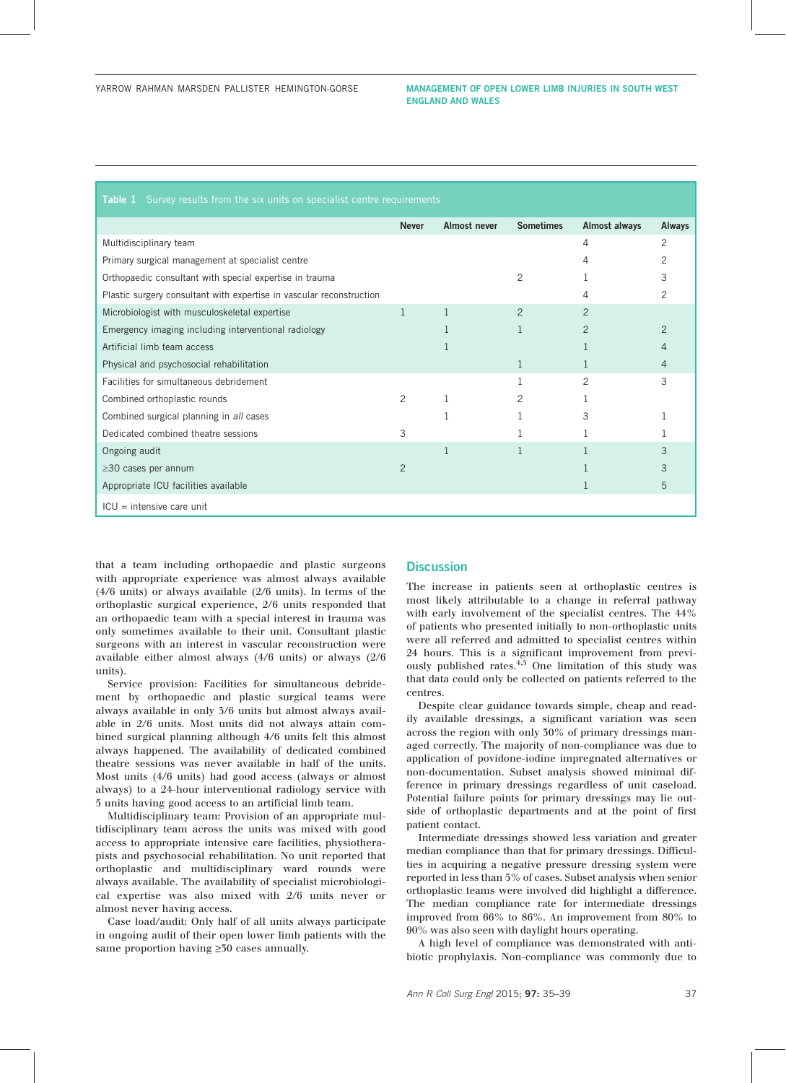YARROW RAHMAN MARSDEN PALLISTER HEMINGTON-GORSE MANAGEMENT OF OPEN LOWER LIMB INJURIES IN SOUTH WEST ENGLAND AND WALES

| Survey results from the six units on specialist centre requirements<br>Table 1 |                |              |                  |                |                |
|--------------------------------------------------------------------------------|----------------|--------------|------------------|----------------|----------------|
|                                                                                | <b>Never</b>   | Almost never | <b>Sometimes</b> | Almost always  | <b>Always</b>  |
| Multidisciplinary team                                                         |                |              |                  | 4              | 2              |
| Primary surgical management at specialist centre                               |                |              |                  | 4              | $\overline{c}$ |
| Orthopaedic consultant with special expertise in trauma                        |                |              | 2                |                | 3              |
| Plastic surgery consultant with expertise in vascular reconstruction           |                |              |                  | 4              | $\mathcal{P}$  |
| Microbiologist with musculoskeletal expertise                                  | 1              | 1            | $\overline{2}$   | $\overline{2}$ |                |
| Emergency imaging including interventional radiology                           |                |              | 1                | $\overline{2}$ | $\overline{2}$ |
| Artificial limb team access                                                    |                |              |                  |                | 4              |
| Physical and psychosocial rehabilitation                                       |                |              | $\mathbf{1}$     | 1              | 4              |
| Facilities for simultaneous debridement                                        |                |              |                  | 2              | 3              |
| Combined orthoplastic rounds                                                   | $\overline{2}$ |              | 2                |                |                |
| Combined surgical planning in all cases                                        |                |              |                  | 3              |                |
| Dedicated combined theatre sessions                                            | 3              |              |                  |                |                |
| Ongoing audit                                                                  |                | $\mathbf{1}$ |                  |                | 3              |
| ≥30 cases per annum                                                            | $\overline{2}$ |              |                  |                | 3              |
| Appropriate ICU facilities available                                           |                |              |                  |                | 5              |
| $ICU =$ intensive care unit                                                    |                |              |                  |                |                |

that a team including orthopaedic and plastic surgeons with appropriate experience was almost always available (4/6 units) or always available (2/6 units). In terms of the orthoplastic surgical experience, 2/6 units responded that an orthopaedic team with a special interest in trauma was only sometimes available to their unit. Consultant plastic surgeons with an interest in vascular reconstruction were available either almost always (4/6 units) or always (2/6 units).

Service provision: Facilities for simultaneous debridement by orthopaedic and plastic surgical teams were always available in only 3/6 units but almost always available in 2/6 units. Most units did not always attain combined surgical planning although 4/6 units felt this almost always happened. The availability of dedicated combined theatre sessions was never available in half of the units. Most units (4/6 units) had good access (always or almost always) to a 24-hour interventional radiology service with 5 units having good access to an artificial limb team.

Multidisciplinary team: Provision of an appropriate multidisciplinary team across the units was mixed with good access to appropriate intensive care facilities, physiotherapists and psychosocial rehabilitation. No unit reported that orthoplastic and multidisciplinary ward rounds were always available. The availability of specialist microbiological expertise was also mixed with 2/6 units never or almost never having access.

Case load/audit: Only half of all units always participate in ongoing audit of their open lower limb patients with the same proportion having ≥30 cases annually.

# **Discussion**

The increase in patients seen at orthoplastic centres is most likely attributable to a change in referral pathway with early involvement of the specialist centres. The 44% of patients who presented initially to non-orthoplastic units were all referred and admitted to specialist centres within 24 hours. This is a significant improvement from previously published rates. $4,5$  One limitation of this study was that data could only be collected on patients referred to the centres.

Despite clear guidance towards simple, cheap and readily available dressings, a significant variation was seen across the region with only 30% of primary dressings managed correctly. The majority of non-compliance was due to application of povidone-iodine impregnated alternatives or non-documentation. Subset analysis showed minimal difference in primary dressings regardless of unit caseload. Potential failure points for primary dressings may lie outside of orthoplastic departments and at the point of first patient contact.

Intermediate dressings showed less variation and greater median compliance than that for primary dressings. Difficulties in acquiring a negative pressure dressing system were reported in less than 5% of cases. Subset analysis when senior orthoplastic teams were involved did highlight a difference. The median compliance rate for intermediate dressings improved from 66% to 86%. An improvement from 80% to 90% was also seen with daylight hours operating.

A high level of compliance was demonstrated with antibiotic prophylaxis. Non-compliance was commonly due to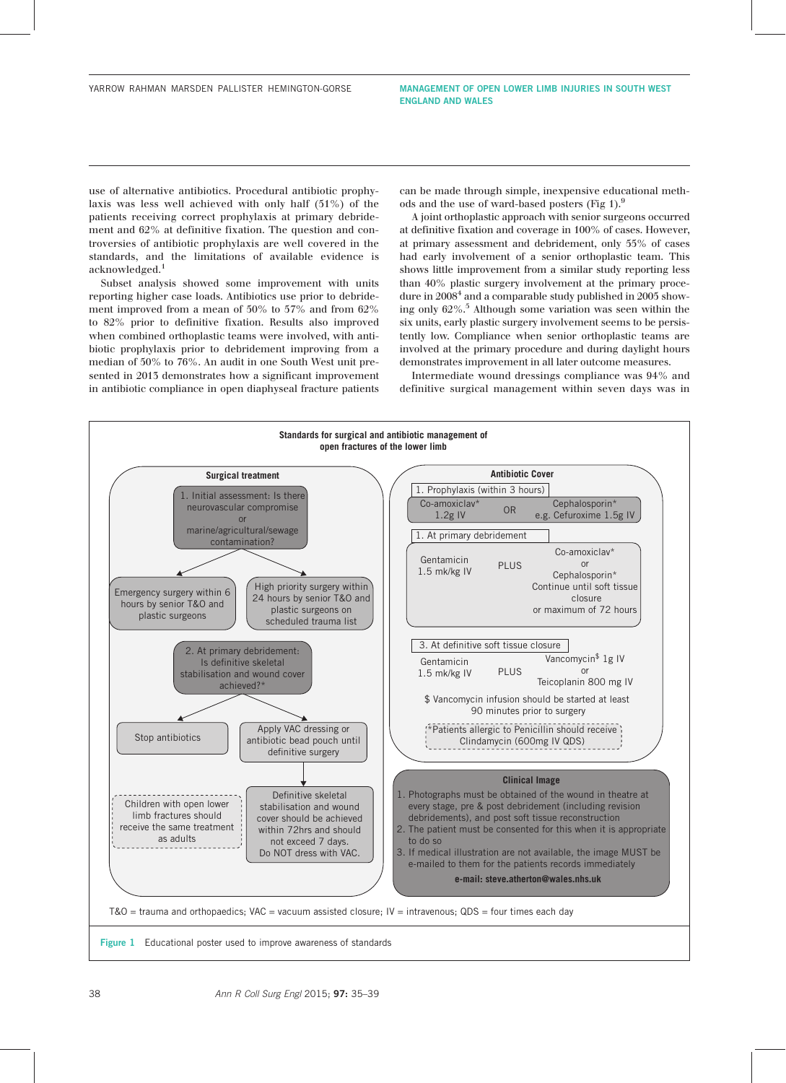use of alternative antibiotics. Procedural antibiotic prophylaxis was less well achieved with only half (51%) of the patients receiving correct prophylaxis at primary debridement and 62% at definitive fixation. The question and controversies of antibiotic prophylaxis are well covered in the standards, and the limitations of available evidence is acknowledged.<sup>1</sup>

Subset analysis showed some improvement with units reporting higher case loads. Antibiotics use prior to debridement improved from a mean of 50% to 57% and from 62% to 82% prior to definitive fixation. Results also improved when combined orthoplastic teams were involved, with antibiotic prophylaxis prior to debridement improving from a median of 50% to 76%. An audit in one South West unit presented in 2013 demonstrates how a significant improvement in antibiotic compliance in open diaphyseal fracture patients

can be made through simple, inexpensive educational methods and the use of ward-based posters (Fig 1).<sup>9</sup>

A joint orthoplastic approach with senior surgeons occurred at definitive fixation and coverage in 100% of cases. However, at primary assessment and debridement, only 55% of cases had early involvement of a senior orthoplastic team. This shows little improvement from a similar study reporting less than 40% plastic surgery involvement at the primary procedure in  $2008<sup>4</sup>$  and a comparable study published in  $2005$  showing only 62%.5 Although some variation was seen within the six units, early plastic surgery involvement seems to be persistently low. Compliance when senior orthoplastic teams are involved at the primary procedure and during daylight hours demonstrates improvement in all later outcome measures.

Intermediate wound dressings compliance was 94% and definitive surgical management within seven days was in